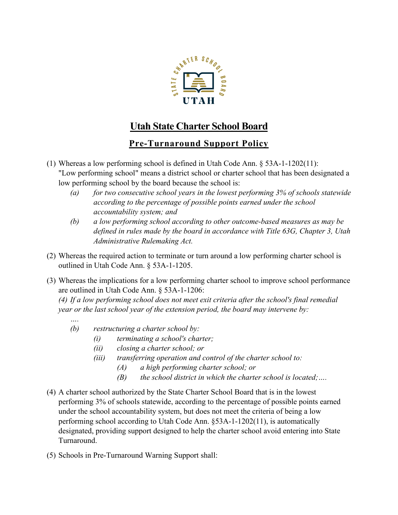

## **Utah State Charter School Board**

## **Pre-Turnaround Support Policy**

- (1) Whereas a low performing school is defined in Utah Code Ann. § 53A-1-1202(11): "Low performing school" means a district school or charter school that has been designated a low performing school by the board because the school is:
	- *(a) for two consecutive school years in the lowest performing 3% of schools statewide according to the percentage of possible points earned under the school accountability system; and*
	- *(b) a low performing school according to other outcome-based measures as may be defined in rules made by the board in accordance with Title 63G, Chapter 3, Utah Administrative Rulemaking Act.*
- (2) Whereas the required action to terminate or turn around a low performing charter school is outlined in Utah Code Ann. § 53A-1-1205.
- (3) Whereas the implications for a low performing charter school to improve school performance are outlined in Utah Code Ann. § 53A-1-1206:

*(4) If a low performing school does not meet exit criteria after the school's final remedial year or the last school year of the extension period, the board may intervene by:*

*(b) restructuring a charter school by:*

*….*

- *(i) terminating a school's charter;*
- *(ii) closing a charter school; or*
- *(iii) transferring operation and control of the charter school to:*
	- *(A) a high performing charter school; or*
	- *(B) the school district in which the charter school is located;….*
- (4) A charter school authorized by the State Charter School Board that is in the lowest performing 3% of schools statewide, according to the percentage of possible points earned under the school accountability system, but does not meet the criteria of being a low performing school according to Utah Code Ann. §53A-1-1202(11), is automatically designated, providing support designed to help the charter school avoid entering into State Turnaround.
- (5) Schools in Pre-Turnaround Warning Support shall: